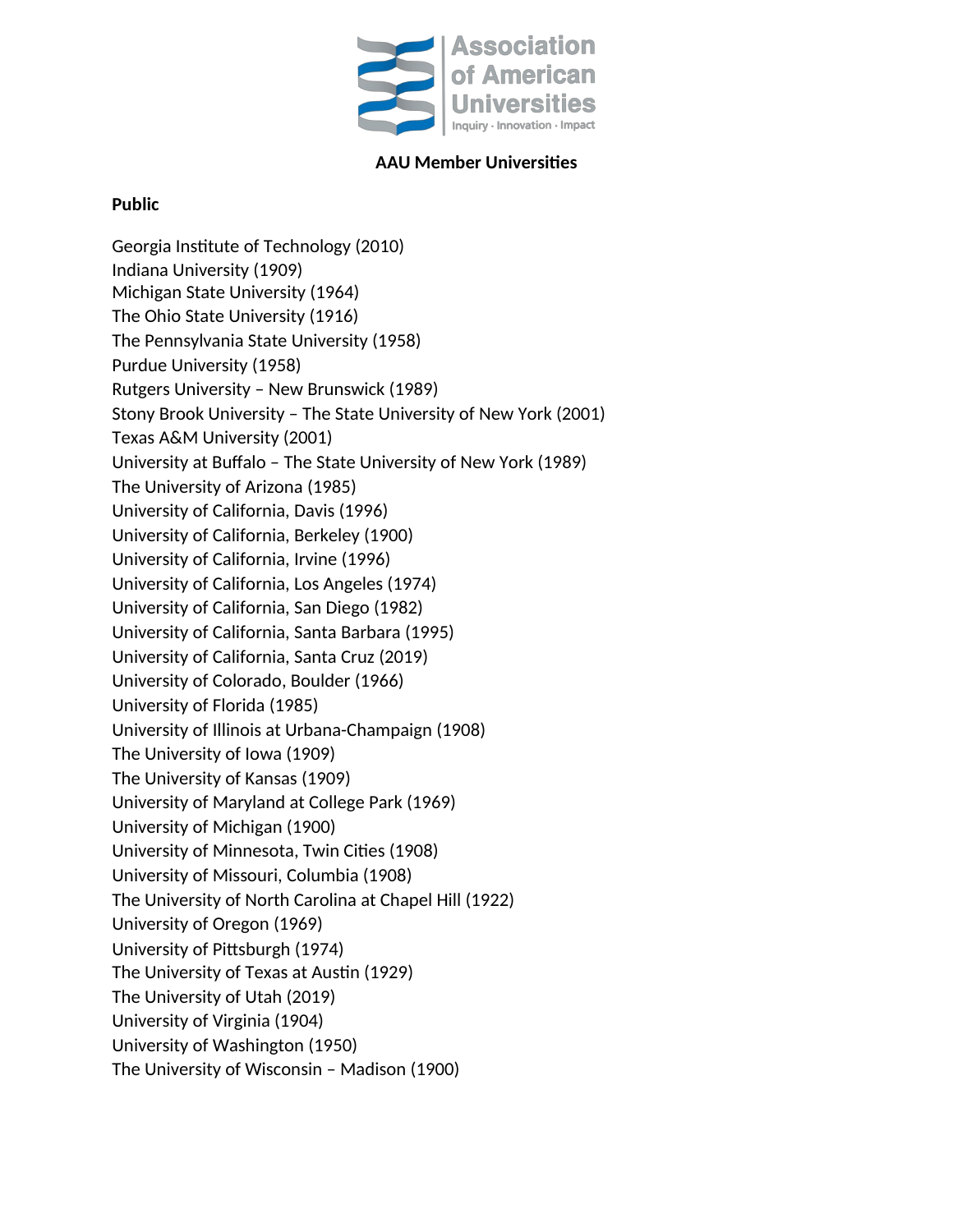

## **AAU Member Universities**

## **Public**

Georgia Institute of Technology (2010) Indiana University (1909) Michigan State University (1964) The Ohio State University (1916) The Pennsylvania State University (1958) Purdue University (1958) Rutgers University – New Brunswick (1989) Stony Brook University – The State University of New York (2001) Texas A&M University (2001) University at Buffalo – The State University of New York (1989) The University of Arizona (1985) University of California, Davis (1996) University of California, Berkeley (1900) University of California, Irvine (1996) University of California, Los Angeles (1974) University of California, San Diego (1982) University of California, Santa Barbara (1995) University of California, Santa Cruz (2019) University of Colorado, Boulder (1966) University of Florida (1985) University of Illinois at Urbana-Champaign (1908) The University of Iowa (1909) The University of Kansas (1909) University of Maryland at College Park (1969) University of Michigan (1900) University of Minnesota, Twin Cities (1908) University of Missouri, Columbia (1908) The University of North Carolina at Chapel Hill (1922) University of Oregon (1969) University of Pittsburgh (1974) The University of Texas at Austin (1929) The University of Utah (2019) University of Virginia (1904) University of Washington (1950) The University of Wisconsin – Madison (1900)